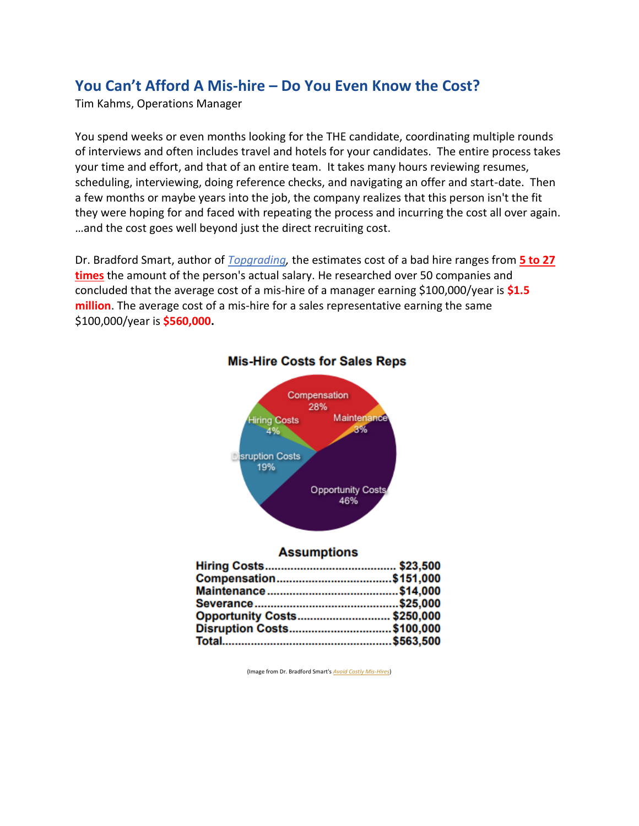# **You Can't Afford A Mis-hire – Do You Even Know the Cost?**

Tim Kahms, Operations Manager

You spend weeks or even months looking for the THE candidate, coordinating multiple rounds of interviews and often includes travel and hotels for your candidates. The entire process takes your time and effort, and that of an entire team. It takes many hours reviewing resumes, scheduling, interviewing, doing reference checks, and navigating an offer and start-date. Then a few months or maybe years into the job, the company realizes that this person isn't the fit they were hoping for and faced with repeating the process and incurring the cost all over again. …and the cost goes well beyond just the direct recruiting cost.

Dr. Bradford Smart, author of *[Topgrading,](https://www.amazon.com/Topgrading-3rd-Edition-Turbocharges-Performance/dp/1591845262)* the estimates cost of a bad hire ranges from **5 to 27 times** the amount of the person's actual salary. He researched over 50 companies and concluded that the average cost of a mis-hire of a manager earning \$100,000/year is **\$1.5 million**. The average cost of a mis-hire for a sales representative earning the same \$100,000/year is **\$560,000.**



# **Mis-Hire Costs for Sales Reps**

#### **Assumptions**

| Opportunity Costs\$250,000 |  |
|----------------------------|--|
| Disruption Costs\$100,000  |  |
|                            |  |
|                            |  |

(Image from Dr. Bradford Smart's *[Avoid Costly Mis-Hires](http://www.global-performance-coaching.com/wp-content/uploads/2014/06/Avoid-Costly-Mis-Hires-by-Bradford-Smart.pdf)*)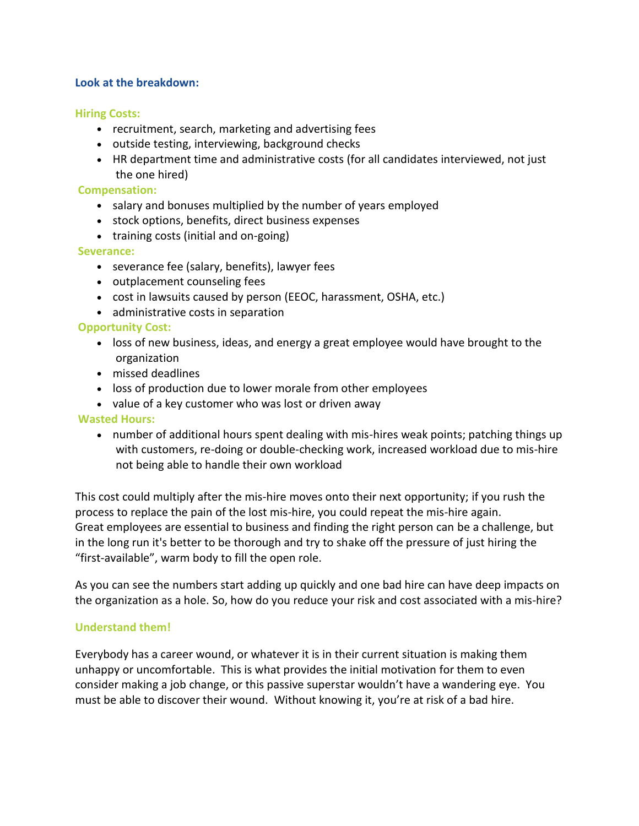#### **Look at the breakdown:**

#### **Hiring Costs:**

- recruitment, search, marketing and advertising fees
- outside testing, interviewing, background checks
- HR department time and administrative costs (for all candidates interviewed, not just the one hired)

#### **Compensation:**

- salary and bonuses multiplied by the number of years employed
- stock options, benefits, direct business expenses
- training costs (initial and on-going)

# **Severance:**

- severance fee (salary, benefits), lawyer fees
- outplacement counseling fees
- cost in lawsuits caused by person (EEOC, harassment, OSHA, etc.)
- administrative costs in separation

# **Opportunity Cost:**

- loss of new business, ideas, and energy a great employee would have brought to the organization
- missed deadlines
- loss of production due to lower morale from other employees
- value of a key customer who was lost or driven away

**Wasted Hours:**

• number of additional hours spent dealing with mis-hires weak points; patching things up with customers, re-doing or double-checking work, increased workload due to mis-hire not being able to handle their own workload

This cost could multiply after the mis-hire moves onto their next opportunity; if you rush the process to replace the pain of the lost mis-hire, you could repeat the mis-hire again. Great employees are essential to business and finding the right person can be a challenge, but in the long run it's better to be thorough and try to shake off the pressure of just hiring the "first-available", warm body to fill the open role.

As you can see the numbers start adding up quickly and one bad hire can have deep impacts on the organization as a hole. So, how do you reduce your risk and cost associated with a mis-hire?

# **Understand them!**

Everybody has a career wound, or whatever it is in their current situation is making them unhappy or uncomfortable. This is what provides the initial motivation for them to even consider making a job change, or this passive superstar wouldn't have a wandering eye. You must be able to discover their wound. Without knowing it, you're at risk of a bad hire.